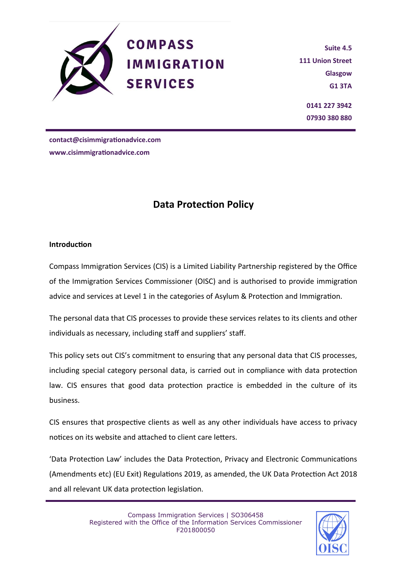

**Suite 4.5 111 Union Street Glasgow G1 3TA 0141 227 3942 07930 380 880**

**contact@cisimmigrationadvice.com www.cisimmigrationadvice.com**

# **Data Protection Policy**

#### **Introduction**

Compass Immigration Services (CIS) is a Limited Liability Partnership registered by the Office of the Immigration Services Commissioner (OISC) and is authorised to provide immigration advice and services at Level 1 in the categories of Asylum & Protection and Immigration.

The personal data that CIS processes to provide these services relates to its clients and other individuals as necessary, including staff and suppliers' staff.

This policy sets out CIS's commitment to ensuring that any personal data that CIS processes, including special category personal data, is carried out in compliance with data protection law. CIS ensures that good data protection practice is embedded in the culture of its business.

CIS ensures that prospective clients as well as any other individuals have access to privacy notices on its website and attached to client care letters.

'Data Protection Law' includes the Data Protection, Privacy and Electronic Communications (Amendments etc) (EU Exit) Regulations 2019, as amended, the UK Data Protection Act 2018 and all relevant UK data protection legislation.

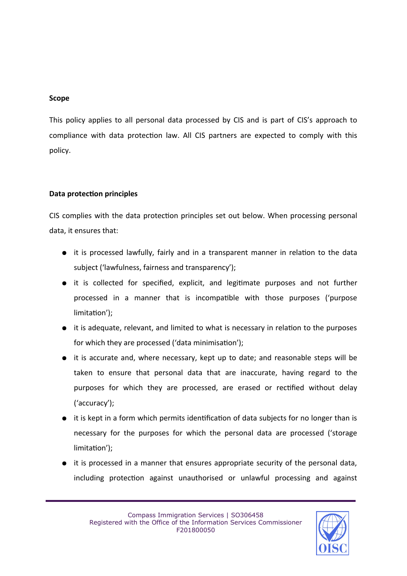#### **Scope**

This policy applies to all personal data processed by CIS and is part of CIS's approach to compliance with data protection law. All CIS partners are expected to comply with this policy.

## **Data protection principles**

CIS complies with the data protection principles set out below. When processing personal data, it ensures that:

- it is processed lawfully, fairly and in a transparent manner in relation to the data subject ('lawfulness, fairness and transparency');
- it is collected for specified, explicit, and legitimate purposes and not further processed in a manner that is incompatible with those purposes ('purpose limitation');
- it is adequate, relevant, and limited to what is necessary in relation to the purposes for which they are processed ('data minimisation');
- it is accurate and, where necessary, kept up to date; and reasonable steps will be taken to ensure that personal data that are inaccurate, having regard to the purposes for which they are processed, are erased or rectified without delay ('accuracy');
- it is kept in a form which permits identification of data subjects for no longer than is necessary for the purposes for which the personal data are processed ('storage limitation');
- it is processed in a manner that ensures appropriate security of the personal data, including protection against unauthorised or unlawful processing and against

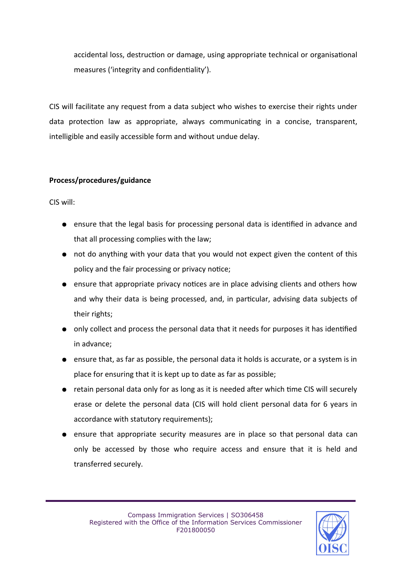accidental loss, destruction or damage, using appropriate technical or organisational measures ('integrity and confidentiality').

CIS will facilitate any request from a data subject who wishes to exercise their rights under data protection law as appropriate, always communicating in a concise, transparent, intelligible and easily accessible form and without undue delay.

## **Process/procedures/guidance**

CIS will:

- ensure that the legal basis for processing personal data is identified in advance and that all processing complies with the law;
- not do anything with your data that you would not expect given the content of this policy and the fair processing or privacy notice;
- ensure that appropriate privacy notices are in place advising clients and others how and why their data is being processed, and, in particular, advising data subjects of their rights;
- only collect and process the personal data that it needs for purposes it has identified in advance;
- ensure that, as far as possible, the personal data it holds is accurate, or a system is in place for ensuring that it is kept up to date as far as possible;
- retain personal data only for as long as it is needed after which time CIS will securely erase or delete the personal data (CIS will hold client personal data for 6 years in accordance with statutory requirements);
- ensure that appropriate security measures are in place so that personal data can only be accessed by those who require access and ensure that it is held and transferred securely.

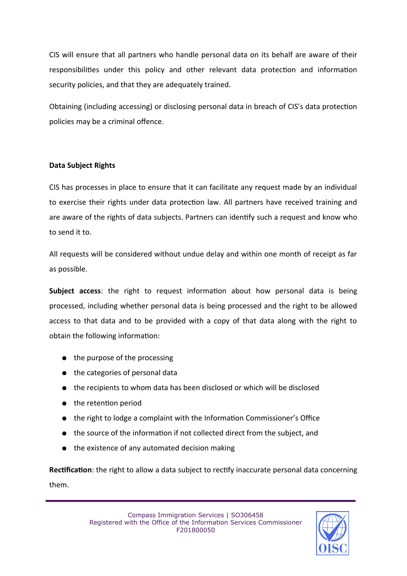CIS will ensure that all partners who handle personal data on its behalf are aware of their responsibilities under this policy and other relevant data protection and information security policies, and that they are adequately trained.

Obtaining (including accessing) or disclosing personal data in breach of CIS's data protection policies may be a criminal offence.

## **Data Subject Rights**

CIS has processes in place to ensure that it can facilitate any request made by an individual to exercise their rights under data protection law. All partners have received training and are aware of the rights of data subjects. Partners can identify such a request and know who to send it to.

All requests will be considered without undue delay and within one month of receipt as far as possible.

**Subject access**: the right to request information about how personal data is being processed, including whether personal data is being processed and the right to be allowed access to that data and to be provided with a copy of that data along with the right to obtain the following information:

- the purpose of the processing
- the categories of personal data
- the recipients to whom data has been disclosed or which will be disclosed
- the retention period
- the right to lodge a complaint with the Information Commissioner's Office
- the source of the information if not collected direct from the subject, and
- the existence of any automated decision making

**Rectification**: the right to allow a data subject to rectify inaccurate personal data concerning them.

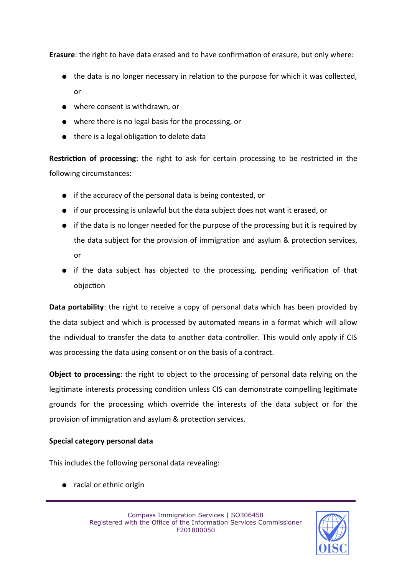**Erasure**: the right to have data erased and to have confirmation of erasure, but only where:

- the data is no longer necessary in relation to the purpose for which it was collected, or
- where consent is withdrawn, or
- where there is no legal basis for the processing, or
- there is a legal obligation to delete data

**Restriction of processing**: the right to ask for certain processing to be restricted in the following circumstances:

- if the accuracy of the personal data is being contested, or
- if our processing is unlawful but the data subject does not want it erased, or
- if the data is no longer needed for the purpose of the processing but it is required by the data subject for the provision of immigration and asylum & protection services, or
- if the data subject has objected to the processing, pending verification of that objection

**Data portability**: the right to receive a copy of personal data which has been provided by the data subject and which is processed by automated means in a format which will allow the individual to transfer the data to another data controller. This would only apply if CIS was processing the data using consent or on the basis of a contract.

**Object to processing**: the right to object to the processing of personal data relying on the legitimate interests processing condition unless CIS can demonstrate compelling legitimate grounds for the processing which override the interests of the data subject or for the provision of immigration and asylum & protection services.

## **Special category personal data**

This includes the following personal data revealing:

● racial or ethnic origin

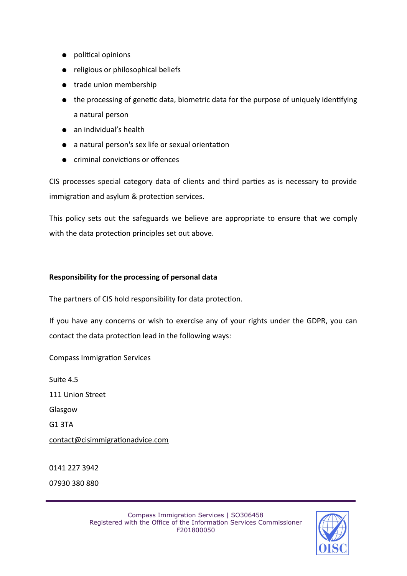- political opinions
- religious or philosophical beliefs
- trade union membership
- the processing of genetic data, biometric data for the purpose of uniquely identifying a natural person
- an individual's health
- a natural person's sex life or sexual orientation
- criminal convictions or offences

CIS processes special category data of clients and third parties as is necessary to provide immigration and asylum & protection services.

This policy sets out the safeguards we believe are appropriate to ensure that we comply with the data protection principles set out above.

#### **Responsibility for the processing of personal data**

The partners of CIS hold responsibility for data protection.

If you have any concerns or wish to exercise any of your rights under the GDPR, you can contact the data protection lead in the following ways:

Compass Immigration Services

Suite 4.5

111 Union Street

Glasgow

G1 3TA

contact@cisimmigrationadvice.com

0141 227 3942 07930 380 880